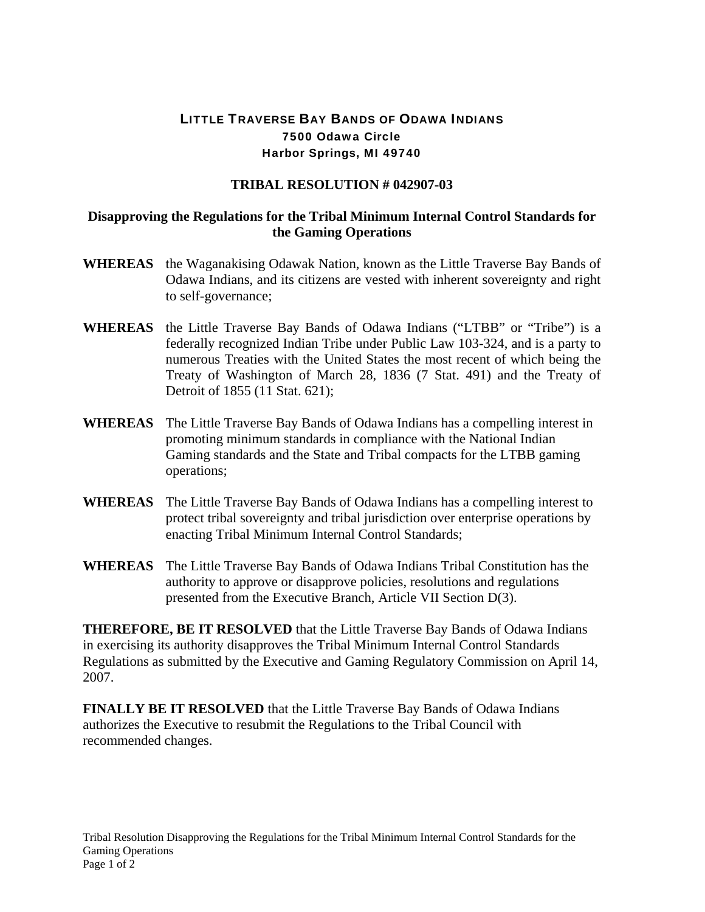## LITTLE TRAVERSE BAY BANDS OF ODAWA INDIANS 7500 Odawa Circle Harbor Springs, MI 49740

## **TRIBAL RESOLUTION # 042907-03**

## **Disapproving the Regulations for the Tribal Minimum Internal Control Standards for the Gaming Operations**

- **WHEREAS** the Waganakising Odawak Nation, known as the Little Traverse Bay Bands of Odawa Indians, and its citizens are vested with inherent sovereignty and right to self-governance;
- **WHEREAS** the Little Traverse Bay Bands of Odawa Indians ("LTBB" or "Tribe") is a federally recognized Indian Tribe under Public Law 103-324, and is a party to numerous Treaties with the United States the most recent of which being the Treaty of Washington of March 28, 1836 (7 Stat. 491) and the Treaty of Detroit of 1855 (11 Stat. 621);
- **WHEREAS** The Little Traverse Bay Bands of Odawa Indians has a compelling interest in promoting minimum standards in compliance with the National Indian Gaming standards and the State and Tribal compacts for the LTBB gaming operations;
- **WHEREAS** The Little Traverse Bay Bands of Odawa Indians has a compelling interest to protect tribal sovereignty and tribal jurisdiction over enterprise operations by enacting Tribal Minimum Internal Control Standards;
- **WHEREAS** The Little Traverse Bay Bands of Odawa Indians Tribal Constitution has the authority to approve or disapprove policies, resolutions and regulations presented from the Executive Branch, Article VII Section D(3).

**THEREFORE, BE IT RESOLVED** that the Little Traverse Bay Bands of Odawa Indians in exercising its authority disapproves the Tribal Minimum Internal Control Standards Regulations as submitted by the Executive and Gaming Regulatory Commission on April 14, 2007.

**FINALLY BE IT RESOLVED** that the Little Traverse Bay Bands of Odawa Indians authorizes the Executive to resubmit the Regulations to the Tribal Council with recommended changes.